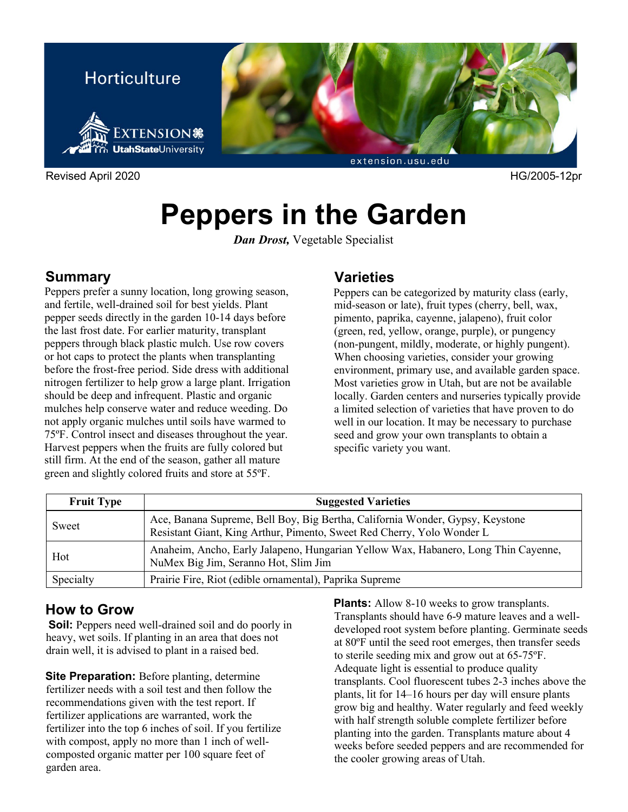

Revised April 2020 HG/2005-12pr

# **Peppers in the Garden**

*Dan Drost,* Vegetable Specialist

#### **Summary**

Peppers prefer a sunny location, long growing season, and fertile, well-drained soil for best yields. Plant pepper seeds directly in the garden 10-14 days before the last frost date. For earlier maturity, transplant peppers through black plastic mulch. Use row covers or hot caps to protect the plants when transplanting before the frost-free period. Side dress with additional nitrogen fertilizer to help grow a large plant. Irrigation should be deep and infrequent. Plastic and organic mulches help conserve water and reduce weeding. Do not apply organic mulches until soils have warmed to 75ºF. Control insect and diseases throughout the year. Harvest peppers when the fruits are fully colored but still firm. At the end of the season, gather all mature green and slightly colored fruits and store at 55ºF.

## **Varieties**

Peppers can be categorized by maturity class (early, mid-season or late), fruit types (cherry, bell, wax, pimento, paprika, cayenne, jalapeno), fruit color (green, red, yellow, orange, purple), or pungency (non-pungent, mildly, moderate, or highly pungent). When choosing varieties, consider your growing environment, primary use, and available garden space. Most varieties grow in Utah, but are not be available locally. Garden centers and nurseries typically provide a limited selection of varieties that have proven to do well in our location. It may be necessary to purchase seed and grow your own transplants to obtain a specific variety you want.

| <b>Fruit Type</b> | <b>Suggested Varieties</b>                                                                                                                              |  |
|-------------------|---------------------------------------------------------------------------------------------------------------------------------------------------------|--|
| Sweet             | Ace, Banana Supreme, Bell Boy, Big Bertha, California Wonder, Gypsy, Keystone<br>Resistant Giant, King Arthur, Pimento, Sweet Red Cherry, Yolo Wonder L |  |
| Hot               | Anaheim, Ancho, Early Jalapeno, Hungarian Yellow Wax, Habanero, Long Thin Cayenne,<br>NuMex Big Jim, Seranno Hot, Slim Jim                              |  |
| Specialty         | Prairie Fire, Riot (edible ornamental), Paprika Supreme                                                                                                 |  |

## **How to Grow**

**Soil:** Peppers need well-drained soil and do poorly in heavy, wet soils. If planting in an area that does not drain well, it is advised to plant in a raised bed.

**Site Preparation:** Before planting, determine fertilizer needs with a soil test and then follow the recommendations given with the test report. If fertilizer applications are warranted, work the fertilizer into the top 6 inches of soil. If you fertilize with compost, apply no more than 1 inch of wellcomposted organic matter per 100 square feet of garden area.

**Plants:** Allow 8-10 weeks to grow transplants. Transplants should have 6-9 mature leaves and a welldeveloped root system before planting. Germinate seeds at 80ºF until the seed root emerges, then transfer seeds to sterile seeding mix and grow out at 65-75ºF. Adequate light is essential to produce quality transplants. Cool fluorescent tubes 2-3 inches above the plants, lit for 14–16 hours per day will ensure plants grow big and healthy. Water regularly and feed weekly with half strength soluble complete fertilizer before planting into the garden. Transplants mature about 4 weeks before seeded peppers and are recommended for the cooler growing areas of Utah.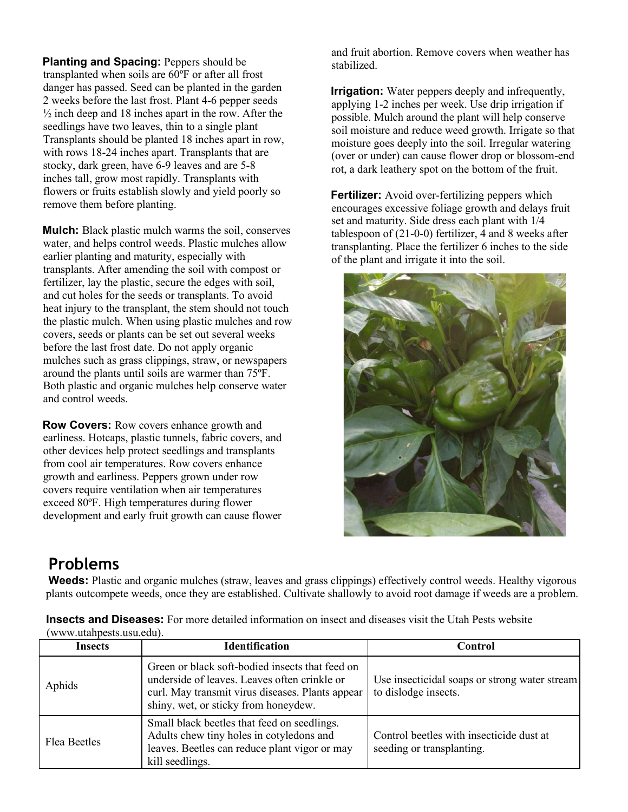**Planting and Spacing:** Peppers should be transplanted when soils are 60ºF or after all frost danger has passed. Seed can be planted in the garden 2 weeks before the last frost. Plant 4-6 pepper seeds  $\frac{1}{2}$  inch deep and 18 inches apart in the row. After the seedlings have two leaves, thin to a single plant Transplants should be planted 18 inches apart in row, with rows 18-24 inches apart. Transplants that are stocky, dark green, have 6-9 leaves and are 5-8 inches tall, grow most rapidly. Transplants with flowers or fruits establish slowly and yield poorly so remove them before planting.

**Mulch:** Black plastic mulch warms the soil, conserves water, and helps control weeds. Plastic mulches allow earlier planting and maturity, especially with transplants. After amending the soil with compost or fertilizer, lay the plastic, secure the edges with soil, and cut holes for the seeds or transplants. To avoid heat injury to the transplant, the stem should not touch the plastic mulch. When using plastic mulches and row covers, seeds or plants can be set out several weeks before the last frost date. Do not apply organic mulches such as grass clippings, straw, or newspapers around the plants until soils are warmer than 75ºF. Both plastic and organic mulches help conserve water and control weeds.

**Row Covers:** Row covers enhance growth and earliness. Hotcaps, plastic tunnels, fabric covers, and other devices help protect seedlings and transplants from cool air temperatures. Row covers enhance growth and earliness. Peppers grown under row covers require ventilation when air temperatures exceed 80ºF. High temperatures during flower development and early fruit growth can cause flower

and fruit abortion. Remove covers when weather has stabilized.

**Irrigation:** Water peppers deeply and infrequently, applying 1-2 inches per week. Use drip irrigation if possible. Mulch around the plant will help conserve soil moisture and reduce weed growth. Irrigate so that moisture goes deeply into the soil. Irregular watering (over or under) can cause flower drop or blossom-end rot, a dark leathery spot on the bottom of the fruit.

**Fertilizer:** Avoid over-fertilizing peppers which encourages excessive foliage growth and delays fruit set and maturity. Side dress each plant with 1/4 tablespoon of (21-0-0) fertilizer, 4 and 8 weeks after transplanting. Place the fertilizer 6 inches to the side of the plant and irrigate it into the soil.



# **Problems**

**Weeds:** Plastic and organic mulches (straw, leaves and grass clippings) effectively control weeds. Healthy vigorous plants outcompete weeds, once they are established. Cultivate shallowly to avoid root damage if weeds are a problem.

|                          | <b>Insects and Diseases:</b> For more detailed information on insect and diseases visit the Utah Pests website |
|--------------------------|----------------------------------------------------------------------------------------------------------------|
| (www.utahpests.usu.edu). |                                                                                                                |

| Insects      | <b>Identification</b>                                                                                                                                                                       | Control                                                               |
|--------------|---------------------------------------------------------------------------------------------------------------------------------------------------------------------------------------------|-----------------------------------------------------------------------|
| Aphids       | Green or black soft-bodied insects that feed on<br>underside of leaves. Leaves often crinkle or<br>curl. May transmit virus diseases. Plants appear<br>shiny, wet, or sticky from honeydew. | Use insecticidal soaps or strong water stream<br>to dislodge insects. |
| Flea Beetles | Small black beetles that feed on seedlings.<br>Adults chew tiny holes in cotyledons and<br>leaves. Beetles can reduce plant vigor or may<br>kill seedlings.                                 | Control beetles with insecticide dust at<br>seeding or transplanting. |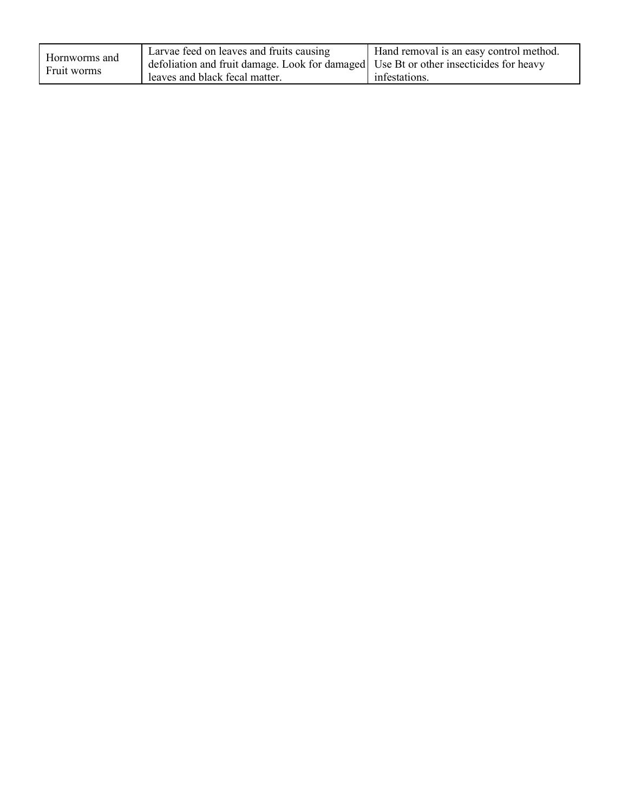| Hornworms and<br>Fruit worms | Larvae feed on leaves and fruits causing<br>defoliation and fruit damage. Look for damaged Use Bt or other insecticides for heavy | Hand removal is an easy control method. |
|------------------------------|-----------------------------------------------------------------------------------------------------------------------------------|-----------------------------------------|
|                              | leaves and black fecal matter.                                                                                                    | infestations.                           |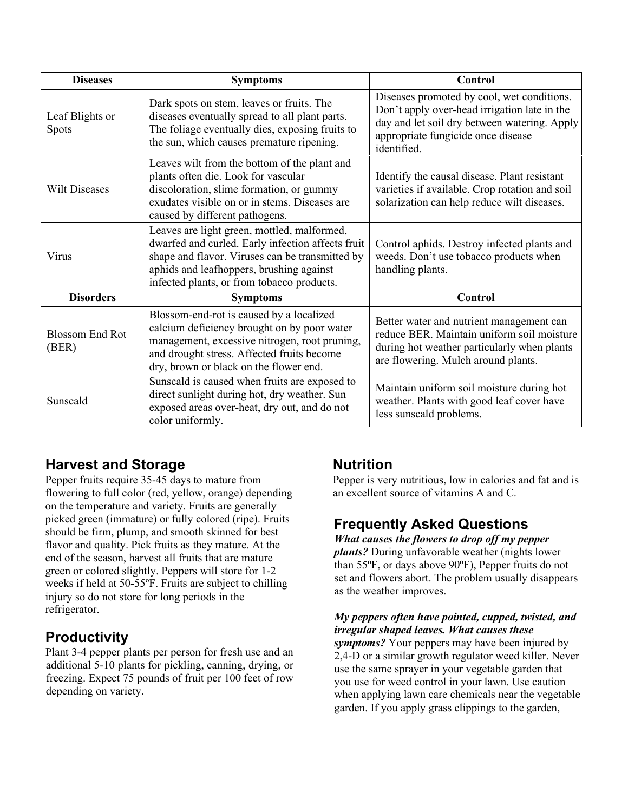| <b>Diseases</b>                 | <b>Symptoms</b>                                                                                                                                                                                                                               | Control                                                                                                                                                                                         |
|---------------------------------|-----------------------------------------------------------------------------------------------------------------------------------------------------------------------------------------------------------------------------------------------|-------------------------------------------------------------------------------------------------------------------------------------------------------------------------------------------------|
| Leaf Blights or<br>Spots        | Dark spots on stem, leaves or fruits. The<br>diseases eventually spread to all plant parts.<br>The foliage eventually dies, exposing fruits to<br>the sun, which causes premature ripening.                                                   | Diseases promoted by cool, wet conditions.<br>Don't apply over-head irrigation late in the<br>day and let soil dry between watering. Apply<br>appropriate fungicide once disease<br>identified. |
| <b>Wilt Diseases</b>            | Leaves wilt from the bottom of the plant and<br>plants often die. Look for vascular<br>discoloration, slime formation, or gummy<br>exudates visible on or in stems. Diseases are<br>caused by different pathogens.                            | Identify the causal disease. Plant resistant<br>varieties if available. Crop rotation and soil<br>solarization can help reduce wilt diseases.                                                   |
| Virus                           | Leaves are light green, mottled, malformed,<br>dwarfed and curled. Early infection affects fruit<br>shape and flavor. Viruses can be transmitted by<br>aphids and leafhoppers, brushing against<br>infected plants, or from tobacco products. | Control aphids. Destroy infected plants and<br>weeds. Don't use tobacco products when<br>handling plants.                                                                                       |
| <b>Disorders</b>                | <b>Symptoms</b>                                                                                                                                                                                                                               | Control                                                                                                                                                                                         |
| <b>Blossom End Rot</b><br>(BER) | Blossom-end-rot is caused by a localized<br>calcium deficiency brought on by poor water<br>management, excessive nitrogen, root pruning,<br>and drought stress. Affected fruits become<br>dry, brown or black on the flower end.              | Better water and nutrient management can<br>reduce BER. Maintain uniform soil moisture<br>during hot weather particularly when plants<br>are flowering. Mulch around plants.                    |
| Sunscald                        | Sunscald is caused when fruits are exposed to<br>direct sunlight during hot, dry weather. Sun<br>exposed areas over-heat, dry out, and do not<br>color uniformly.                                                                             | Maintain uniform soil moisture during hot<br>weather. Plants with good leaf cover have<br>less sunscald problems.                                                                               |

## **Harvest and Storage**

Pepper fruits require 35-45 days to mature from flowering to full color (red, yellow, orange) depending on the temperature and variety. Fruits are generally picked green (immature) or fully colored (ripe). Fruits should be firm, plump, and smooth skinned for best flavor and quality. Pick fruits as they mature. At the end of the season, harvest all fruits that are mature green or colored slightly. Peppers will store for 1-2 weeks if held at 50-55ºF. Fruits are subject to chilling injury so do not store for long periods in the refrigerator.

## **Productivity**

Plant 3-4 pepper plants per person for fresh use and an additional 5-10 plants for pickling, canning, drying, or freezing. Expect 75 pounds of fruit per 100 feet of row depending on variety.

## **Nutrition**

Pepper is very nutritious, low in calories and fat and is an excellent source of vitamins A and C.

## **Frequently Asked Questions**

*What causes the flowers to drop off my pepper plants?* During unfavorable weather (nights lower than 55ºF, or days above 90ºF), Pepper fruits do not set and flowers abort. The problem usually disappears as the weather improves.

*My peppers often have pointed, cupped, twisted, and irregular shaped leaves. What causes these symptoms?* Your peppers may have been injured by 2,4-D or a similar growth regulator weed killer. Never use the same sprayer in your vegetable garden that you use for weed control in your lawn. Use caution when applying lawn care chemicals near the vegetable garden. If you apply grass clippings to the garden,